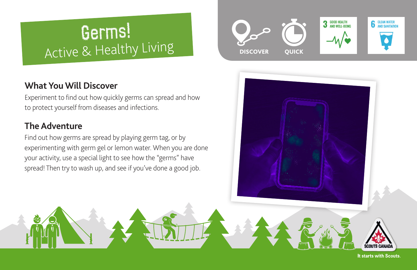# Germs! Active & Healthy Living

## **What You Will Discover**

Experiment to find out how quickly germs can spread and how to protect yourself from diseases and infections.

# **The Adventure**

Find out how germs are spread by playing germ tag, or by experimenting with germ gel or lemon water. When you are done your activity, use a special light to see how the "germs" have spread! Then try to wash up, and see if you've done a good job.





It starts with Scouts.